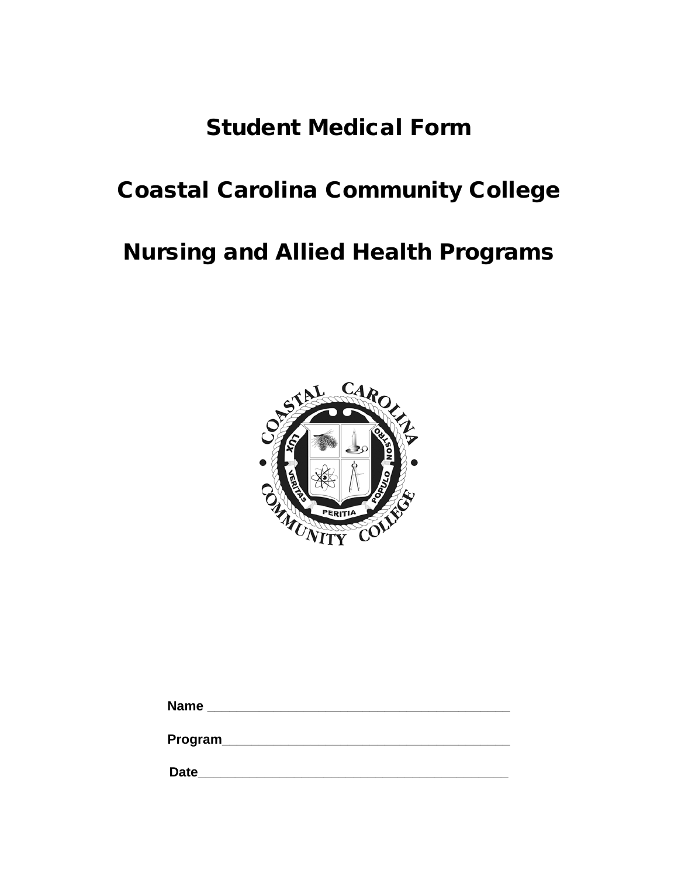# Student Medical Form

# Coastal Carolina Community College

# Nursing and Allied Health Programs



| <b>Name</b> |  |  |  |  |
|-------------|--|--|--|--|
|             |  |  |  |  |

**Program\_\_\_\_\_\_\_\_\_\_\_\_\_\_\_\_\_\_\_\_\_\_\_\_\_\_\_\_\_\_\_\_\_\_\_\_\_\_\_**

**Date\_\_\_\_\_\_\_\_\_\_\_\_\_\_\_\_\_\_\_\_\_\_\_\_\_\_\_\_\_\_\_\_\_\_\_\_\_\_\_\_\_\_**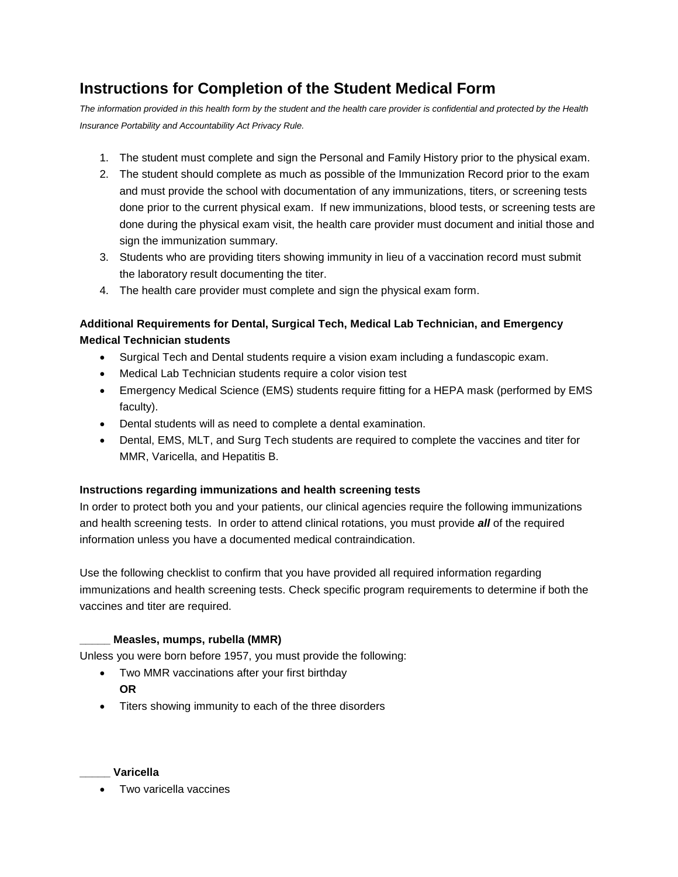## **Instructions for Completion of the Student Medical Form**

*The information provided in this health form by the student and the health care provider is confidential and protected by the Health Insurance Portability and Accountability Act Privacy Rule.* 

- 1. The student must complete and sign the Personal and Family History prior to the physical exam.
- 2. The student should complete as much as possible of the Immunization Record prior to the exam and must provide the school with documentation of any immunizations, titers, or screening tests done prior to the current physical exam. If new immunizations, blood tests, or screening tests are done during the physical exam visit, the health care provider must document and initial those and sign the immunization summary.
- 3. Students who are providing titers showing immunity in lieu of a vaccination record must submit the laboratory result documenting the titer.
- 4. The health care provider must complete and sign the physical exam form.

### **Additional Requirements for Dental, Surgical Tech, Medical Lab Technician, and Emergency Medical Technician students**

- Surgical Tech and Dental students require a vision exam including a fundascopic exam.
- Medical Lab Technician students require a color vision test
- Emergency Medical Science (EMS) students require fitting for a HEPA mask (performed by EMS faculty).
- Dental students will as need to complete a dental examination.
- Dental, EMS, MLT, and Surg Tech students are required to complete the vaccines and titer for MMR, Varicella, and Hepatitis B.

#### **Instructions regarding immunizations and health screening tests**

In order to protect both you and your patients, our clinical agencies require the following immunizations and health screening tests. In order to attend clinical rotations, you must provide *all* of the required information unless you have a documented medical contraindication.

Use the following checklist to confirm that you have provided all required information regarding immunizations and health screening tests. Check specific program requirements to determine if both the vaccines and titer are required.

#### **\_\_\_\_\_ Measles, mumps, rubella (MMR)**

Unless you were born before 1957, you must provide the following:

- Two MMR vaccinations after your first birthday **OR**
- Titers showing immunity to each of the three disorders

#### **\_\_\_\_\_ Varicella**

• Two varicella vaccines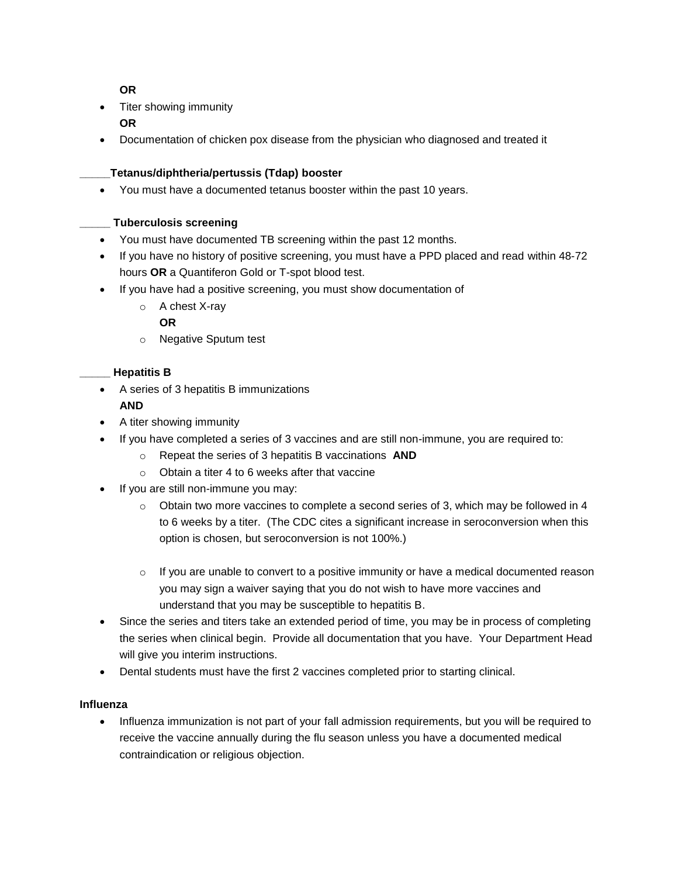#### **OR**

- Titer showing immunity **OR**
- Documentation of chicken pox disease from the physician who diagnosed and treated it

#### **\_\_\_\_\_Tetanus/diphtheria/pertussis (Tdap) booster**

You must have a documented tetanus booster within the past 10 years.

#### **\_\_\_\_\_ Tuberculosis screening**

- You must have documented TB screening within the past 12 months.
- If you have no history of positive screening, you must have a PPD placed and read within 48-72 hours **OR** a Quantiferon Gold or T-spot blood test.
- If you have had a positive screening, you must show documentation of

### o A chest X-ray

**OR**

o Negative Sputum test

#### **\_\_\_\_\_ Hepatitis B**

A series of 3 hepatitis B immunizations

#### **AND**

- A titer showing immunity
- If you have completed a series of 3 vaccines and are still non-immune, you are required to:
	- o Repeat the series of 3 hepatitis B vaccinations **AND**
	- o Obtain a titer 4 to 6 weeks after that vaccine
- If you are still non-immune you may:
	- $\circ$  Obtain two more vaccines to complete a second series of 3, which may be followed in 4 to 6 weeks by a titer. (The CDC cites a significant increase in seroconversion when this option is chosen, but seroconversion is not 100%.)
	- $\circ$  If you are unable to convert to a positive immunity or have a medical documented reason you may sign a waiver saying that you do not wish to have more vaccines and understand that you may be susceptible to hepatitis B.
- Since the series and titers take an extended period of time, you may be in process of completing the series when clinical begin. Provide all documentation that you have. Your Department Head will give you interim instructions.
- Dental students must have the first 2 vaccines completed prior to starting clinical.

#### **Influenza**

• Influenza immunization is not part of your fall admission requirements, but you will be required to receive the vaccine annually during the flu season unless you have a documented medical contraindication or religious objection.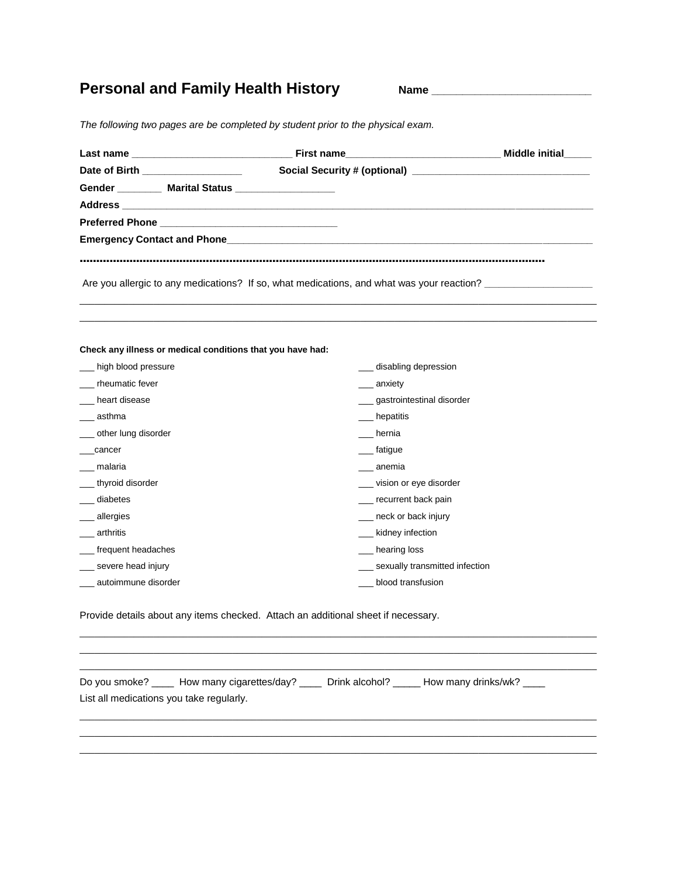## Personal and Family Health History **Name Name**

*The following two pages are be completed by student prior to the physical exam.*

| Date of Birth ____________________                         |                                                                                                                 |  |
|------------------------------------------------------------|-----------------------------------------------------------------------------------------------------------------|--|
| Gender __________ Marital Status ___________________       |                                                                                                                 |  |
|                                                            | Address and the contract of the contract of the contract of the contract of the contract of the contract of the |  |
|                                                            |                                                                                                                 |  |
|                                                            |                                                                                                                 |  |
|                                                            |                                                                                                                 |  |
|                                                            | Are you allergic to any medications? If so, what medications, and what was your reaction?                       |  |
|                                                            |                                                                                                                 |  |
| Check any illness or medical conditions that you have had: |                                                                                                                 |  |
| high blood pressure                                        | disabling depression                                                                                            |  |
| rheumatic fever                                            | ___ anxiety                                                                                                     |  |
| heart disease                                              | __ gastrointestinal disorder                                                                                    |  |
| asthma                                                     | hepatitis                                                                                                       |  |
| ___ other lung disorder                                    | hernia                                                                                                          |  |
| cancer                                                     | fatigue                                                                                                         |  |
| malaria                                                    | anemia                                                                                                          |  |
| thyroid disorder                                           | vision or eye disorder                                                                                          |  |
| diabetes                                                   | __ recurrent back pain                                                                                          |  |
| __ allergies                                               | __ neck or back injury                                                                                          |  |
|                                                            | __ kidney infection                                                                                             |  |
| arthritis                                                  |                                                                                                                 |  |
|                                                            | __ hearing loss                                                                                                 |  |
| __ frequent headaches<br>__ severe head injury             | __ sexually transmitted infection                                                                               |  |

\_\_\_\_\_\_\_\_\_\_\_\_\_\_\_\_\_\_\_\_\_\_\_\_\_\_\_\_\_\_\_\_\_\_\_\_\_\_\_\_\_\_\_\_\_\_\_\_\_\_\_\_\_\_\_\_\_\_\_\_\_\_\_\_\_\_\_\_\_\_\_\_\_\_\_\_\_\_\_\_\_\_\_\_\_\_\_\_\_\_\_\_\_\_\_\_\_\_\_\_\_\_\_\_\_ \_\_\_\_\_\_\_\_\_\_\_\_\_\_\_\_\_\_\_\_\_\_\_\_\_\_\_\_\_\_\_\_\_\_\_\_\_\_\_\_\_\_\_\_\_\_\_\_\_\_\_\_\_\_\_\_\_\_\_\_\_\_\_\_\_\_\_\_\_\_\_\_\_\_\_\_\_\_\_\_\_\_\_\_\_\_\_\_\_\_\_\_\_\_\_\_\_\_\_\_\_\_\_\_\_ \_\_\_\_\_\_\_\_\_\_\_\_\_\_\_\_\_\_\_\_\_\_\_\_\_\_\_\_\_\_\_\_\_\_\_\_\_\_\_\_\_\_\_\_\_\_\_\_\_\_\_\_\_\_\_\_\_\_\_\_\_\_\_\_\_\_\_\_\_\_\_\_\_\_\_\_\_\_\_\_\_\_\_\_\_\_\_\_\_\_\_\_\_\_\_\_\_\_\_\_\_\_\_\_\_ Do you smoke? \_\_\_\_ How many cigarettes/day? \_\_\_\_ Drink alcohol? \_\_\_\_ How many drinks/wk? \_\_\_ List all medications you take regularly. \_\_\_\_\_\_\_\_\_\_\_\_\_\_\_\_\_\_\_\_\_\_\_\_\_\_\_\_\_\_\_\_\_\_\_\_\_\_\_\_\_\_\_\_\_\_\_\_\_\_\_\_\_\_\_\_\_\_\_\_\_\_\_\_\_\_\_\_\_\_\_\_\_\_\_\_\_\_\_\_\_\_\_\_\_\_\_\_\_\_\_\_\_\_\_\_\_\_\_\_\_\_\_\_\_ \_\_\_\_\_\_\_\_\_\_\_\_\_\_\_\_\_\_\_\_\_\_\_\_\_\_\_\_\_\_\_\_\_\_\_\_\_\_\_\_\_\_\_\_\_\_\_\_\_\_\_\_\_\_\_\_\_\_\_\_\_\_\_\_\_\_\_\_\_\_\_\_\_\_\_\_\_\_\_\_\_\_\_\_\_\_\_\_\_\_\_\_\_\_\_\_\_\_\_\_\_\_\_\_\_  $\_$  ,  $\_$  ,  $\_$  ,  $\_$  ,  $\_$  ,  $\_$  ,  $\_$  ,  $\_$  ,  $\_$  ,  $\_$  ,  $\_$  ,  $\_$  ,  $\_$  ,  $\_$  ,  $\_$  ,  $\_$  ,  $\_$  ,  $\_$  ,  $\_$  ,  $\_$  ,  $\_$  ,  $\_$  ,  $\_$  ,  $\_$  ,  $\_$  ,  $\_$  ,  $\_$  ,  $\_$  ,  $\_$  ,  $\_$  ,  $\_$  ,  $\_$  ,  $\_$  ,  $\_$  ,  $\_$  ,  $\_$  ,  $\_$  ,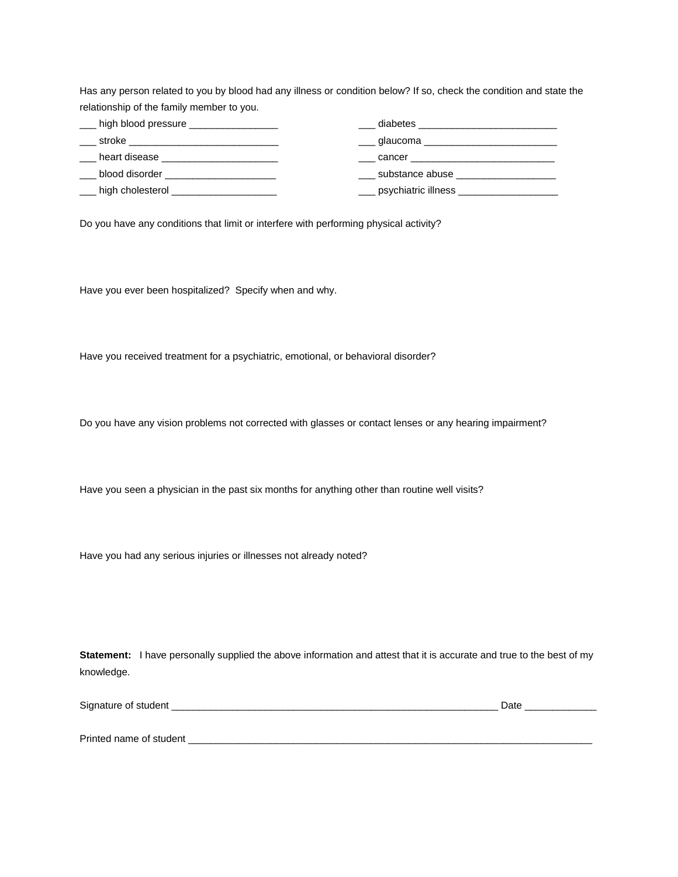Has any person related to you by blood had any illness or condition below? If so, check the condition and state the relationship of the family member to you.

| high blood pressure __________________ | diabetes                                                                                                                                                                                                                       |
|----------------------------------------|--------------------------------------------------------------------------------------------------------------------------------------------------------------------------------------------------------------------------------|
| stroke                                 | glaucoma en el proponente de la contradición de la contradición de la contradición de la contradición de la co                                                                                                                 |
| heart disease                          | cancer and the cancer of the control of the control of the control of the control of the control of the control of the control of the control of the control of the control of the control of the control of the control of th |
| blood disorder                         | substance abuse                                                                                                                                                                                                                |
| high cholesterol                       | psychiatric illness                                                                                                                                                                                                            |

Do you have any conditions that limit or interfere with performing physical activity?

Have you ever been hospitalized? Specify when and why.

Have you received treatment for a psychiatric, emotional, or behavioral disorder?

Do you have any vision problems not corrected with glasses or contact lenses or any hearing impairment?

Have you seen a physician in the past six months for anything other than routine well visits?

Have you had any serious injuries or illnesses not already noted?

**Statement:** I have personally supplied the above information and attest that it is accurate and true to the best of my knowledge.

| Signature of student    | .Jate |
|-------------------------|-------|
|                         |       |
|                         |       |
| Printed name of student |       |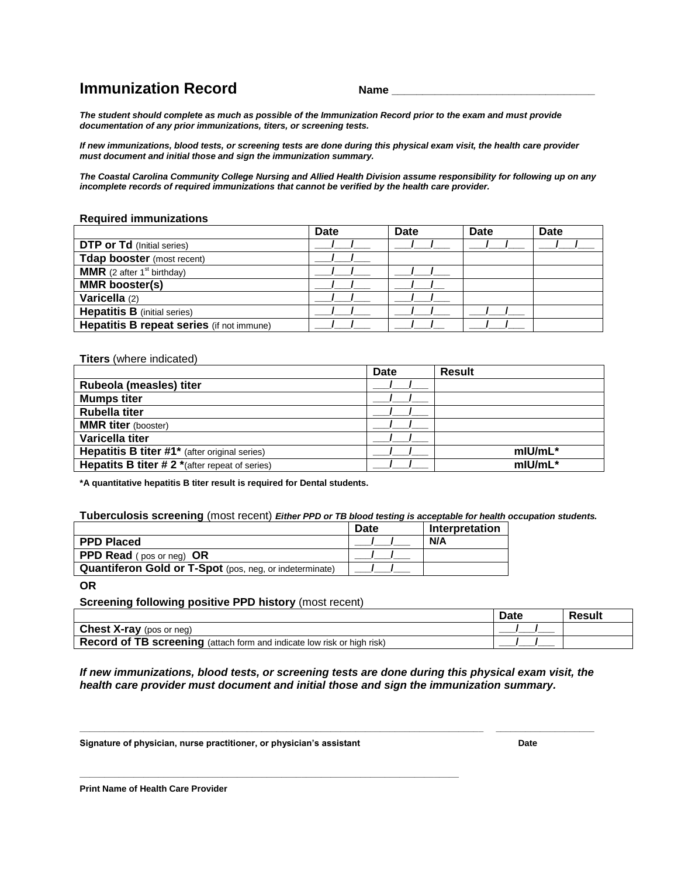### **Immunization Record CONFING Mame**

*The student should complete as much as possible of the Immunization Record prior to the exam and must provide documentation of any prior immunizations, titers, or screening tests.* 

*If new immunizations, blood tests, or screening tests are done during this physical exam visit, the health care provider must document and initial those and sign the immunization summary.* 

*The Coastal Carolina Community College Nursing and Allied Health Division assume responsibility for following up on any incomplete records of required immunizations that cannot be verified by the health care provider.* 

#### **Required immunizations**

|                                               | <b>Date</b> | <b>Date</b> | <b>Date</b> | <b>Date</b> |
|-----------------------------------------------|-------------|-------------|-------------|-------------|
| <b>DTP or Td</b> (Initial series)             |             |             |             |             |
| Tdap booster (most recent)                    |             |             |             |             |
| <b>MMR</b> (2 after 1 <sup>st</sup> birthday) |             |             |             |             |
| <b>MMR</b> booster(s)                         |             |             |             |             |
| Varicella (2)                                 |             |             |             |             |
| <b>Hepatitis B</b> (initial series)           |             |             |             |             |
| Hepatitis B repeat series (if not immune)     |             |             |             |             |

**Titers** (where indicated)

|                                                          | Date | <b>Result</b> |
|----------------------------------------------------------|------|---------------|
| Rubeola (measles) titer                                  |      |               |
| <b>Mumps titer</b>                                       |      |               |
| <b>Rubella titer</b>                                     |      |               |
| <b>MMR titer</b> (booster)                               |      |               |
| Varicella titer                                          |      |               |
| <b>Hepatitis B titer #1*</b> (after original series)     |      | $m$ IU/mL $*$ |
| <b>Hepatits B titer # 2</b> $*($ after repeat of series) |      | $m$ IU/mL $*$ |

**\*A quantitative hepatitis B titer result is required for Dental students.** 

**Tuberculosis screening** (most recent) *Either PPD or TB blood testing is acceptable for health occupation students.* 

|                                                                | <b>Date</b> | <b>Interpretation</b> |
|----------------------------------------------------------------|-------------|-----------------------|
| <b>PPD Placed</b>                                              |             | N/A                   |
| <b>PPD Read</b> (pos or neg) OR                                |             |                       |
| <b>Quantiferon Gold or T-Spot</b> (pos, neg, or indeterminate) |             |                       |

**OR**

#### **Screening following positive PPD history** (most recent)

|                                                                         | Date | Result |
|-------------------------------------------------------------------------|------|--------|
| <b>Chest X-ray</b> (pos or neg)                                         |      |        |
| Record of TB screening (attach form and indicate low risk or high risk) |      |        |

*If new immunizations, blood tests, or screening tests are done during this physical exam visit, the health care provider must document and initial those and sign the immunization summary.* 

**\_\_\_\_\_\_\_\_\_\_\_\_\_\_\_\_\_\_\_\_\_\_\_\_\_\_\_\_\_\_\_\_\_\_\_\_\_\_\_\_\_\_\_\_\_\_\_\_\_\_\_\_\_\_\_\_\_\_\_\_\_\_\_\_\_\_\_\_\_\_\_\_\_\_\_\_\_\_\_\_\_\_ \_\_\_\_\_\_\_\_\_\_\_\_\_\_\_\_\_\_\_\_**

**Signature of physician, nurse practitioner, or physician's assistant Date** 

**\_\_\_\_\_\_\_\_\_\_\_\_\_\_\_\_\_\_\_\_\_\_\_\_\_\_\_\_\_\_\_\_\_\_\_\_\_\_\_\_\_\_\_\_\_\_\_\_\_\_\_\_\_\_\_\_\_\_\_\_\_\_\_\_\_\_\_\_\_\_\_\_\_\_\_\_\_** 

**Print Name of Health Care Provider**